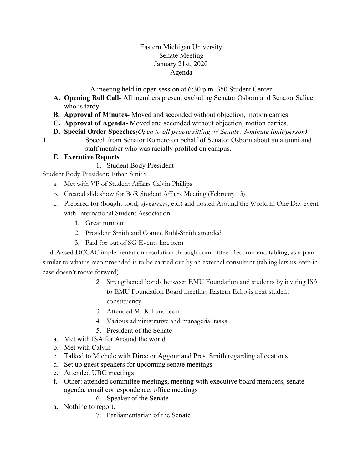### Eastern Michigan University Senate Meeting January 21st, 2020 Agenda

A meeting held in open session at 6:30 p.m. 350 Student Center

- **A. Opening Roll Call-** All members present excluding Senator Osborn and Senator Salice who is tardy.
- **B. Approval of Minutes-** Moved and seconded without objection, motion carries.
- **C. Approval of Agenda-** Moved and seconded without objection, motion carries.
- **D. Special Order Speeches***(Open to all people sitting w/ Senate: 3-minute limit/person)*
- 1. Speech from Senator Romero on behalf of Senator Osborn about an alumni and staff member who was racially profiled on campus.

## **E. Executive Reports**

1. Student Body President

Student Body President: Ethan Smith

- a. Met with VP of Student Affairs Calvin Phillips
- b. Created slideshow for BoR Student Affairs Meeting (February 13)
- c. Prepared for (bought food, giveaways, etc.) and hosted Around the World in One Day event with International Student Association
	- 1. Great turnout
	- 2. President Smith and Connie Ruhl-Smith attended
	- 3. Paid for out of SG Events line item

 d.Passed DCCAC implementation resolution through committee. Recommend tabling, as a plan similar to what is recommended is to be carried out by an external consultant (tabling lets us keep in case doesn't move forward).

- 2. Strengthened bonds between EMU Foundation and students by inviting ISA to EMU Foundation Board meeting. Eastern Echo is next student constituency.
- 3. Attended MLK Luncheon
- 4. Various administrative and managerial tasks.
- 5. President of the Senate
- a. Met with ISA for Around the world
- b. Met with Calvin
- c. Talked to Michele with Director Aggour and Pres. Smith regarding allocations
- d. Set up guest speakers for upcoming senate meetings
- e. Attended UBC meetings
- f. Other: attended committee meetings, meeting with executive board members, senate agenda, email correspondence, office meetings
	- 6. Speaker of the Senate
- a. Nothing to report.
	- 7. Parliamentarian of the Senate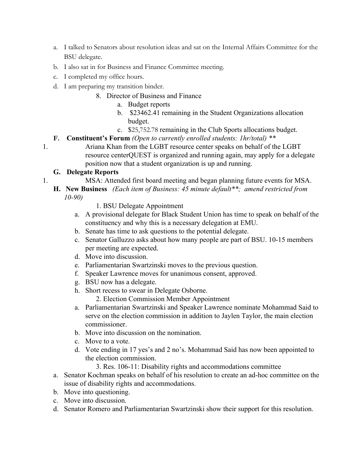- a. I talked to Senators about resolution ideas and sat on the Internal Affairs Committee for the BSU delegate.
- b. I also sat in for Business and Finance Committee meeting.
- c. I completed my office hours.
- d. I am preparing my transition binder.
	- 8. Director of Business and Finance
		- a. Budget reports
		- b. \$23462.41 remaining in the Student Organizations allocation budget.
		- c. \$25,752.78 remaining in the Club Sports allocations budget.

## **F. Constituent's Forum** *(Open to currently enrolled students: 1hr/total) \*\**

1. Ariana Khan from the LGBT resource center speaks on behalf of the LGBT resource centerQUEST is organized and running again, may apply for a delegate position now that a student organization is up and running.

## **G. Delegate Reports**

- 1. MSA: Attended first board meeting and began planning future events for MSA.
	- **H. New Business** *(Each item of Business: 45 minute default\*\*; amend restricted from 10-90)*
		- 1. BSU Delegate Appointment
		- a. A provisional delegate for Black Student Union has time to speak on behalf of the constituency and why this is a necessary delegation at EMU.
		- b. Senate has time to ask questions to the potential delegate.
		- c. Senator Galluzzo asks about how many people are part of BSU. 10-15 members per meeting are expected.
		- d. Move into discussion.
		- e. Parliamentarian Swartzinski moves to the previous question.
		- f. Speaker Lawrence moves for unanimous consent, approved.
		- g. BSU now has a delegate.
		- h. Short recess to swear in Delegate Osborne.
			- 2. Election Commission Member Appointment
		- a. Parliamentarian Swartzinski and Speaker Lawrence nominate Mohammad Said to serve on the election commission in addition to Jaylen Taylor, the main election commissioner.
		- b. Move into discussion on the nomination.
		- c. Move to a vote.
		- d. Vote ending in 17 yes's and 2 no's. Mohammad Said has now been appointed to the election commission.
			- 3. Res. 106-11: Disability rights and accommodations committee
		- a. Senator Kochman speaks on behalf of his resolution to create an ad-hoc committee on the issue of disability rights and accommodations.
		- b. Move into questioning.
		- c. Move into discussion.
		- d. Senator Romero and Parliamentarian Swartzinski show their support for this resolution.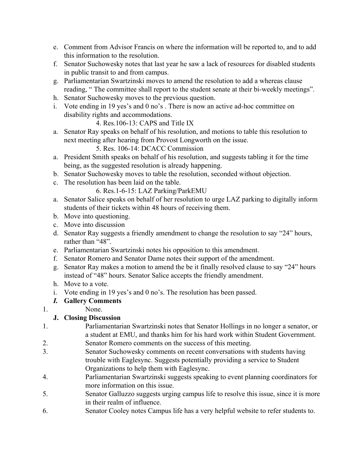- e. Comment from Advisor Francis on where the information will be reported to, and to add this information to the resolution.
- f. Senator Suchowesky notes that last year he saw a lack of resources for disabled students in public transit to and from campus.
- g. Parliamentarian Swartzinski moves to amend the resolution to add a whereas clause reading, " The committee shall report to the student senate at their bi-weekly meetings".
- h. Senator Suchowesky moves to the previous question.
- i. Vote ending in 19 yes's and 0 no's . There is now an active ad-hoc committee on disability rights and accommodations.

4. Res.106-13: CAPS and Title IX

a. Senator Ray speaks on behalf of his resolution, and motions to table this resolution to next meeting after hearing from Provost Longworth on the issue.

5. Res. 106-14: DCACC Commission

- a. President Smith speaks on behalf of his resolution, and suggests tabling it for the time being, as the suggested resolution is already happening.
- b. Senator Suchowesky moves to table the resolution, seconded without objection.
- c. The resolution has been laid on the table.

6. Res.1-6-15: LAZ Parking/ParkEMU

- a. Senator Salice speaks on behalf of her resolution to urge LAZ parking to digitally inform students of their tickets within 48 hours of receiving them.
- b. Move into questioning.
- c. Move into discussion
- d. Senator Ray suggests a friendly amendment to change the resolution to say "24" hours, rather than "48".
- e. Parliamentarian Swartzinski notes his opposition to this amendment.
- f. Senator Romero and Senator Dame notes their support of the amendment.
- g. Senator Ray makes a motion to amend the be it finally resolved clause to say "24" hours instead of "48" hours. Senator Salice accepts the friendly amendment.
- h. Move to a vote.
- i. Vote ending in 19 yes's and 0 no's. The resolution has been passed.
- *I.* **Gallery Comments**
- 1. None.

# **J. Closing Discussion**

- 1. Parliamentarian Swartzinski notes that Senator Hollings in no longer a senator, or a student at EMU, and thanks him for his hard work within Student Government. 2. Senator Romero comments on the success of this meeting.
- 3. Senator Suchowesky comments on recent conversations with students having
- trouble with Eaglesync. Suggests potentially providing a service to Student Organizations to help them with Eaglesync.
- 4. Parliamentarian Swartzinski suggests speaking to event planning coordinators for more information on this issue.
- 5. Senator Galluzzo suggests urging campus life to resolve this issue, since it is more in their realm of influence.
- 6. Senator Cooley notes Campus life has a very helpful website to refer students to.